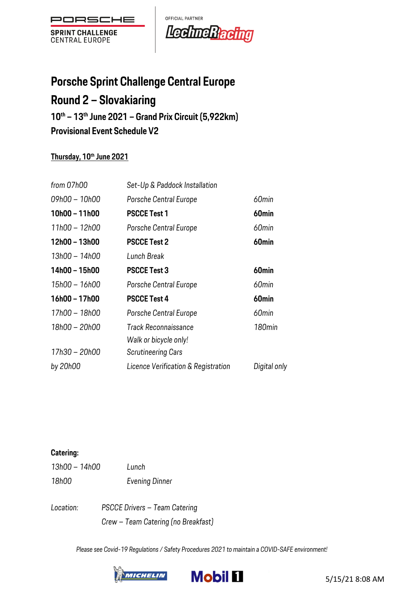

OFFICIAL PARTNER LechneRacing

# **Porsche Sprint Challenge Central Europe Round 2 – Slovakiaring 10th – 13th June 2021 – Grand Prix Circuit (5,922km)**

**Provisional Event Schedule V2**

### **Thursday, 10th June 2021**

| from 07h00    | Set-Up & Paddock Installation       |                    |
|---------------|-------------------------------------|--------------------|
| 09h00 - 10h00 | Porsche Central Europe              | 60min              |
| 10h00 - 11h00 | <b>PSCCE Test 1</b>                 | 60 <sub>min</sub>  |
| 11h00 - 12h00 | Porsche Central Europe              | 60min              |
| 12h00 - 13h00 | <b>PSCCE Test 2</b>                 | 60 <sub>min</sub>  |
| 13h00 - 14h00 | Lunch Break                         |                    |
| 14h00 - 15h00 | <b>PSCCE Test 3</b>                 | 60 <sub>min</sub>  |
| 15h00 – 16h00 | Porsche Central Europe              | 60min              |
| 16h00 - 17h00 | <b>PSCCE Test 4</b>                 | 60 <sub>min</sub>  |
| 17h00 - 18h00 | Porsche Central Europe              | 60min              |
| 18h00 - 20h00 | Track Reconnaissance                | 180 <sub>min</sub> |
|               | Walk or bicycle only!               |                    |
| 17h30 - 20h00 | <b>Scrutineering Cars</b>           |                    |
| by 20h00      | Licence Verification & Registration | Digital only       |

### **Catering:**

| 13h00 - 14h00 | Lunch                 |
|---------------|-----------------------|
| 18h00         | <b>Evening Dinner</b> |

*Location: PSCCE Drivers – Team Catering Crew – Team Catering (no Breakfast)*



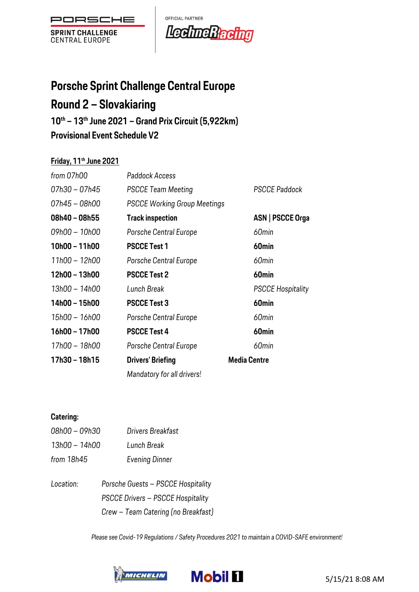

OFFICIAL PARTNER LechneRacting

# **Porsche Sprint Challenge Central Europe**

# **Round 2 – Slovakiaring**

**10th – 13th June 2021 – Grand Prix Circuit (5,922km)**

**Provisional Event Schedule V2**

### **Friday, 11th June 2021**

| from 07h00    | Paddock Access                      |                          |
|---------------|-------------------------------------|--------------------------|
| 07h30 - 07h45 | <b>PSCCE Team Meeting</b>           | <b>PSCCE Paddock</b>     |
| 07h45 – 08h00 | <b>PSCCE Working Group Meetings</b> |                          |
| 08h40 - 08h55 | <b>Track inspection</b>             | ASN   PSCCE Orga         |
| 09h00 - 10h00 | Porsche Central Europe              | 60min                    |
| 10h00 - 11h00 | <b>PSCCE Test 1</b>                 | 60 <sub>min</sub>        |
| 11h00 - 12h00 | Porsche Central Europe              | 60min                    |
| 12h00 - 13h00 | <b>PSCCE Test 2</b>                 | 60 <sub>min</sub>        |
| 13h00 - 14h00 | Lunch Break                         | <b>PSCCE Hospitality</b> |
| 14h00 - 15h00 | <b>PSCCE Test 3</b>                 | 60 <sub>min</sub>        |
| 15h00 - 16h00 | Porsche Central Europe              | 60min                    |
| 16h00 - 17h00 | <b>PSCCE Test 4</b>                 | 60 <sub>min</sub>        |
| 17h00 - 18h00 | Porsche Central Europe              | 60min                    |
| 17h30 - 18h15 | <b>Drivers' Briefing</b>            | <b>Media Centre</b>      |
|               | Mandatory for all drivers!          |                          |

### **Catering:**

| 08h00 – 09h30 |                | Drivers Breakfast |
|---------------|----------------|-------------------|
| 13h00 - 14h00 | Lunch Break    |                   |
| from 18h45    | Evening Dinner |                   |
| $l$ cootion:  | Dorocho Cusato | DOODE Hoop        |

*Location: Porsche Guests – PSCCE Hospitality PSCCE Drivers – PSCCE Hospitality Crew – Team Catering (no Breakfast)*



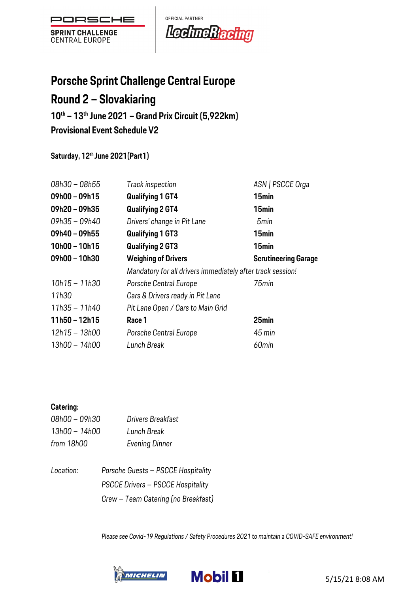

OFFICIAL PARTNER Led meRacing

# **Porsche Sprint Challenge Central Europe**

# **Round 2 – Slovakiaring**

**10th – 13th June 2021 – Grand Prix Circuit (5,922km)**

**Provisional Event Schedule V2**

### **Saturday, 12th June 2021(Part1)**

| 08h30 - 08h55   | Track inspection                                           | ASN   PSCCE Orga            |
|-----------------|------------------------------------------------------------|-----------------------------|
| $09h00 - 09h15$ | <b>Qualifying 1 GT4</b>                                    | 15 <sub>min</sub>           |
| $09h20 - 09h35$ | <b>Qualifying 2 GT4</b>                                    | 15 <sub>min</sub>           |
| 09h35 - 09h40   | Drivers' change in Pit Lane                                | 5 <sub>min</sub>            |
| $09h40 - 09h55$ | <b>Qualifying 1 GT3</b>                                    | 15 <sub>min</sub>           |
| $10h00 - 10h15$ | <b>Qualifying 2 GT3</b>                                    | 15 <sub>min</sub>           |
| 09h00 - 10h30   | <b>Weighing of Drivers</b>                                 | <b>Scrutineering Garage</b> |
|                 | Mandatory for all drivers immediately after track session! |                             |
| $10h15 - 11h30$ | Porsche Central Europe                                     | 75min                       |
| 11h30           | Cars & Drivers ready in Pit Lane                           |                             |
| 11h35 - 11h40   | Pit Lane Open / Cars to Main Grid                          |                             |
| $11h50 - 12h15$ | Race 1                                                     | 25min                       |
| 12h15 - 13h00   | Porsche Central Europe                                     | 45 min                      |
| 13h00 - 14h00   | Lunch Break                                                | 60 <sub>min</sub>           |

#### **Catering:**

| 08h00 - 09h30 | Drivers Breakfast     |
|---------------|-----------------------|
| 13h00 - 14h00 | Lunch Break           |
| from 18h00    | <b>Evening Dinner</b> |

*Location: Porsche Guests – PSCCE Hospitality PSCCE Drivers – PSCCE Hospitality Crew – Team Catering (no Breakfast)*

*Please see Covid-19 Regulations / Safety Procedures 2021 to maintain a COVID-SAFE environment!*

**Mobil II** 



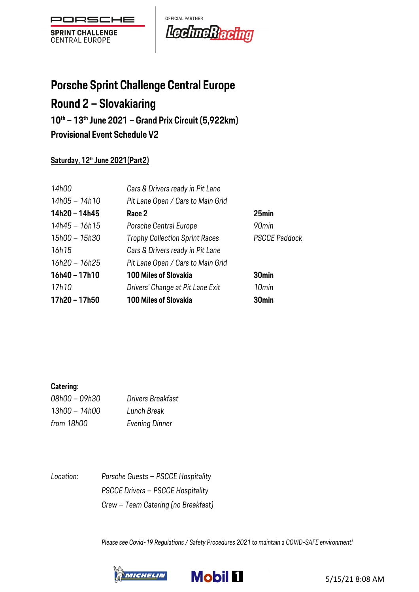

OFFICIAL PARTNER Lechne Racing

# **Porsche Sprint Challenge Central Europe**

# **Round 2 – Slovakiaring**

**10th – 13th June 2021 – Grand Prix Circuit (5,922km)**

**Provisional Event Schedule V2**

### **Saturday, 12th June 2021(Part2)**

| 14h00           | Cars & Drivers ready in Pit Lane      |                      |
|-----------------|---------------------------------------|----------------------|
| 14h05 - 14h10   | Pit Lane Open / Cars to Main Grid     |                      |
| 14h20 - 14h45   | Race 2                                | 25 <sub>min</sub>    |
| 14h45 - 16h15   | Porsche Central Europe                | 90min                |
| 15h00 - 15h30   | <b>Trophy Collection Sprint Races</b> | <b>PSCCE Paddock</b> |
| 16h15           | Cars & Drivers ready in Pit Lane      |                      |
| 16h20 - 16h25   | Pit Lane Open / Cars to Main Grid     |                      |
| $16h40 - 17h10$ | <b>100 Miles of Slovakia</b>          | 30 <sub>min</sub>    |
| 17h10           | Drivers' Change at Pit Lane Exit      | 10 <sub>min</sub>    |
| 17h20 - 17h50   | <b>100 Miles of Slovakia</b>          | 30 <sub>min</sub>    |

#### **Catering:**

| 08h00 - 09h30 | Drivers Breakfast     |
|---------------|-----------------------|
| 13h00 - 14h00 | Lunch Break           |
| from 18h00    | <b>Evening Dinner</b> |

*Location: Porsche Guests – PSCCE Hospitality PSCCE Drivers – PSCCE Hospitality Crew – Team Catering (no Breakfast)*